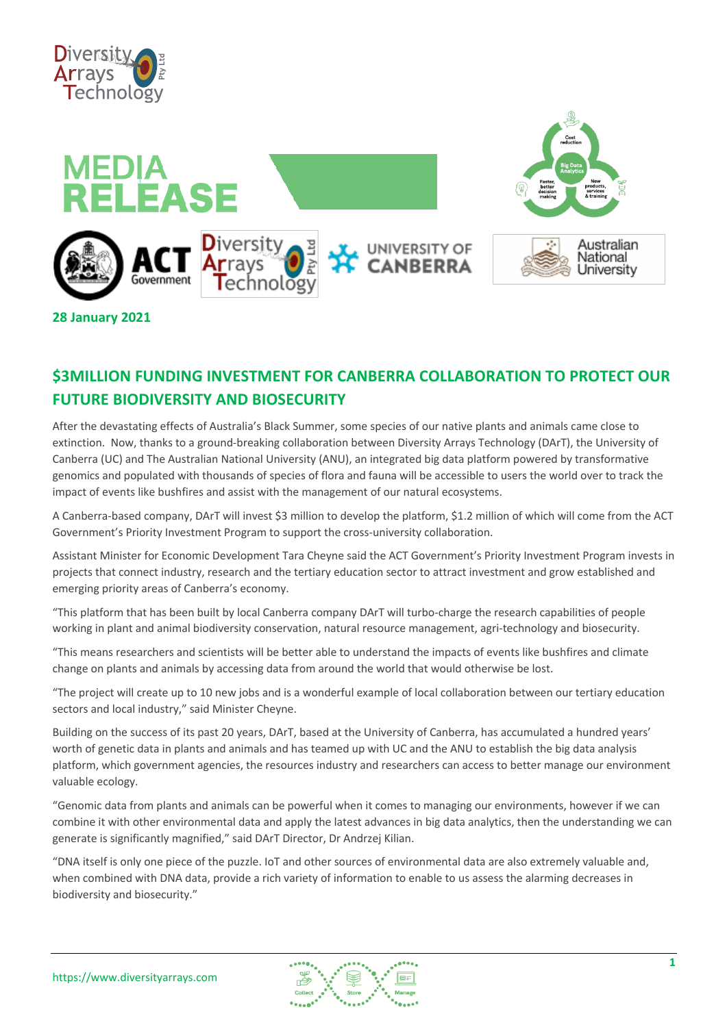



## **\$3MILLION FUNDING INVESTMENT FOR CANBERRA COLLABORATION TO PROTECT OUR FUTURE BIODIVERSITY AND BIOSECURITY**

After the devastating effects of Australia's Black Summer, some species of our native plants and animals came close to extinction. Now, thanks to a ground-breaking collaboration between Diversity Arrays Technology (DArT), the University of Canberra (UC) and The Australian National University (ANU), an integrated big data platform powered by transformative genomics and populated with thousands of species of flora and fauna will be accessible to users the world over to track the impact of events like bushfires and assist with the management of our natural ecosystems.

A Canberra-based company, DArT will invest \$3 million to develop the platform, \$1.2 million of which will come from the ACT Government's Priority Investment Program to support the cross-university collaboration.

Assistant Minister for Economic Development Tara Cheyne said the ACT Government's Priority Investment Program invests in projects that connect industry, research and the tertiary education sector to attract investment and grow established and emerging priority areas of Canberra's economy.

"This platform that has been built by local Canberra company DArT will turbo-charge the research capabilities of people working in plant and animal biodiversity conservation, natural resource management, agri-technology and biosecurity.

"This means researchers and scientists will be better able to understand the impacts of events like bushfires and climate change on plants and animals by accessing data from around the world that would otherwise be lost.

"The project will create up to 10 new jobs and is a wonderful example of local collaboration between our tertiary education sectors and local industry," said Minister Cheyne.

Building on the success of its past 20 years, DArT, based at the University of Canberra, has accumulated a hundred years' worth of genetic data in plants and animals and has teamed up with UC and the ANU to establish the big data analysis platform, which government agencies, the resources industry and researchers can access to better manage our environment valuable ecology.

"Genomic data from plants and animals can be powerful when it comes to managing our environments, however if we can combine it with other environmental data and apply the latest advances in big data analytics, then the understanding we can generate is significantly magnified," said DArT Director, Dr Andrzej Kilian.

"DNA itself is only one piece of the puzzle. IoT and other sources of environmental data are also extremely valuable and, when combined with DNA data, provide a rich variety of information to enable to us assess the alarming decreases in biodiversity and biosecurity."